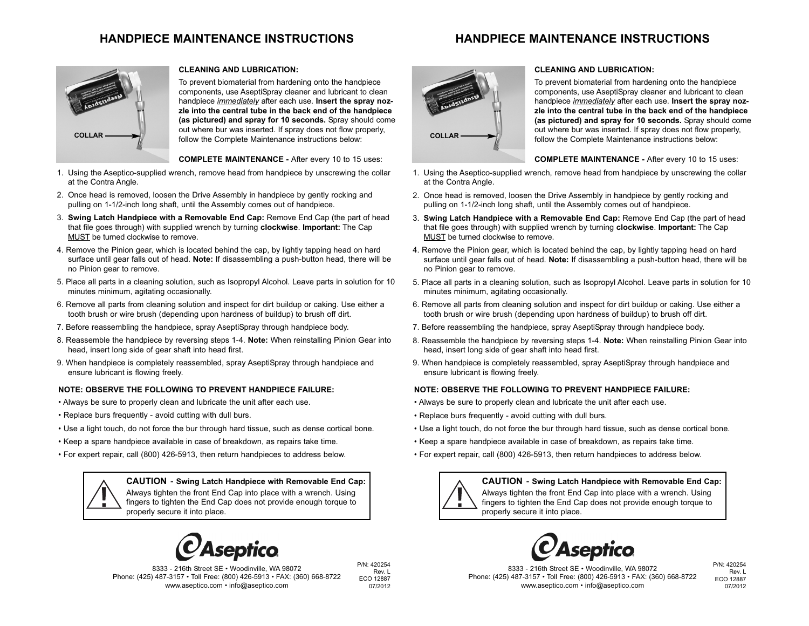# **HANDPIECE MAINTENANCE INSTRUCTIONS**

# **HANDPIECE MAINTENANCE INSTRUCTIONS**



#### **CLEANING AND LUBRICATION:**

To prevent biomaterial from hardening onto the handpiece components, use AseptiSpray cleaner and lubricant to clean handpiece *immediately* after each use. **Insert the spray nozzle into the central tube in the back end of the handpiece (as pictured) and spray for 10 seconds.** Spray should come out where bur was inserted. If spray does not flow properly, follow the Complete Maintenance instructions below:

**COMPLETE MAINTENANCE -** After every 10 to 15 uses:

- 1. Using the Aseptico-supplied wrench, remove head from handpiece by unscrewing the collar at the Contra Angle.
- 2. Once head is removed, loosen the Drive Assembly in handpiece by gently rocking and pulling on 1-1/2-inch long shaft, until the Assembly comes out of handpiece.
- 3. **Swing Latch Handpiece with a Removable End Cap:** Remove End Cap (the part of head that file goes through) with supplied wrench by turning **clockwise**. **Important:** The Cap MUST be turned clockwise to remove.
- 4. Remove the Pinion gear, which is located behind the cap, by lightly tapping head on hard surface until gear falls out of head. **Note:** If disassembling a push-button head, there will be no Pinion gear to remove.
- 5. Place all parts in a cleaning solution, such as Isopropyl Alcohol. Leave parts in solution for 10 minutes minimum, agitating occasionally.
- 6. Remove all parts from cleaning solution and inspect for dirt buildup or caking. Use either a tooth brush or wire brush (depending upon hardness of buildup) to brush off dirt.
- 7. Before reassembling the handpiece, spray AseptiSpray through handpiece body.
- 8. Reassemble the handpiece by reversing steps 1-4. **Note:** When reinstalling Pinion Gear into head, insert long side of gear shaft into head first.
- 9. When handpiece is completely reassembled, spray AseptiSpray through handpiece and ensure lubricant is flowing freely.

#### **NOTE: OBSERVE THE FOLLOWING TO PREVENT HANDPIECE FAILURE:**

- Always be sure to properly clean and lubricate the unit after each use.
- Replace burs frequently avoid cutting with dull burs.
- Use a light touch, do not force the bur through hard tissue, such as dense cortical bone.
- Keep a spare handpiece available in case of breakdown, as repairs take time.
- For expert repair, call (800) 426-5913, then return handpieces to address below.



**CAUTION** - **Swing Latch Handpiece with Removable End Cap:** Always tighten the front End Cap into place with a wrench. Using fingers to tighten the End Cap does not provide enough torque to properly secure it into place.



8333 - 216th Street SE • Woodinville, WA 98072 Phone: (425) 487-3157 • Toll Free: (800) 426-5913 • FAX: (360) 668-8722 www.aseptico.com • info@aseptico.com

P/N: 420254 Rev. L ECO 12887 07/2012



#### **CLEANING AND LUBRICATION:**

To prevent biomaterial from hardening onto the handpiece components, use AseptiSpray cleaner and lubricant to clean handpiece *immediately* after each use. **Insert the spray nozzle into the central tube in the back end of the handpiece (as pictured) and spray for 10 seconds.** Spray should come out where bur was inserted. If spray does not flow properly, follow the Complete Maintenance instructions below:

**COMPLETE MAINTENANCE -** After every 10 to 15 uses:

- 1. Using the Aseptico-supplied wrench, remove head from handpiece by unscrewing the collar at the Contra Angle.
- 2. Once head is removed, loosen the Drive Assembly in handpiece by gently rocking and pulling on 1-1/2-inch long shaft, until the Assembly comes out of handpiece.
- 3. **Swing Latch Handpiece with a Removable End Cap:** Remove End Cap (the part of head that file goes through) with supplied wrench by turning **clockwise**. **Important:** The Cap MUST be turned clockwise to remove.
- 4. Remove the Pinion gear, which is located behind the cap, by lightly tapping head on hard surface until gear falls out of head. **Note:** If disassembling a push-button head, there will be no Pinion gear to remove.
- 5. Place all parts in a cleaning solution, such as Isopropyl Alcohol. Leave parts in solution for 10 minutes minimum, agitating occasionally.
- 6. Remove all parts from cleaning solution and inspect for dirt buildup or caking. Use either a tooth brush or wire brush (depending upon hardness of buildup) to brush off dirt.
- 7. Before reassembling the handpiece, spray AseptiSpray through handpiece body.
- 8. Reassemble the handpiece by reversing steps 1-4. **Note:** When reinstalling Pinion Gear into head, insert long side of gear shaft into head first.
- 9. When handpiece is completely reassembled, spray AseptiSpray through handpiece and ensure lubricant is flowing freely.

#### **NOTE: OBSERVE THE FOLLOWING TO PREVENT HANDPIECE FAILURE:**

- Always be sure to properly clean and lubricate the unit after each use.
- Replace burs frequently avoid cutting with dull burs.
- Use a light touch, do not force the bur through hard tissue, such as dense cortical bone.
- Keep a spare handpiece available in case of breakdown, as repairs take time.
- For expert repair, call (800) 426-5913, then return handpieces to address below.

#### **CAUTION** - **Swing Latch Handpiece with Removable End Cap:**

Always tighten the front End Cap into place with a wrench. Using fingers to tighten the End Cap does not provide enough torque to properly secure it into place.



8333 - 216th Street SE • Woodinville, WA 98072 Phone: (425) 487-3157 • Toll Free: (800) 426-5913 • FAX: (360) 668-8722 www.aseptico.com • info@aseptico.com

P/N: 420254 Rev. L ECO 12887 07/2012